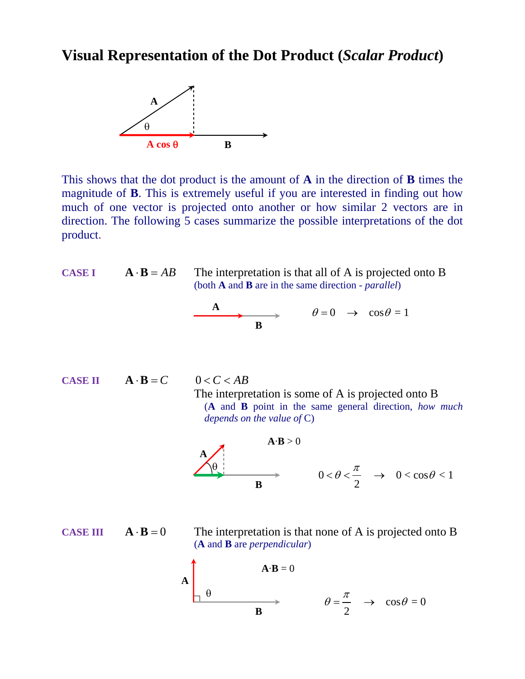## **Visual Representation of the Dot Product (***Scalar Product***)**



This shows that the dot product is the amount of **A** in the direction of **B** times the magnitude of **B**. This is extremely useful if you are interested in finding out how much of one vector is projected onto another or how similar 2 vectors are in direction. The following 5 cases summarize the possible interpretations of the dot product.

CASE I 
$$
\mathbf{A} \cdot \mathbf{B} = AB
$$
 The interpretation is that all of A is projected onto B  
\n(both A and B are in the same direction - *parallel*)  
\n  
\n  
\n $\theta = 0 \rightarrow \cos \theta = 1$ 

**CASE II**  $\mathbf{A} \cdot \mathbf{B} = C$   $0 < C < AB$ 

 The interpretation is some of A is projected onto B (**A** and **B** point in the same general direction, *how much depends on the value of* C)

$$
\begin{array}{c}\nA \rightarrow B > 0 \\
\hline\n\theta \\
\hline\nB\n\end{array}\n\longrightarrow\n\begin{array}{c}\nA \cdot B > 0 \\
0 < \theta < \frac{\pi}{2} \rightarrow 0 < \cos \theta < 1\n\end{array}
$$

**CASE III**  $\mathbf{A} \cdot \mathbf{B} = 0$  The interpretation is that none of A is projected onto B (**A** and **B** are *perpendicular*)

$$
A \begin{array}{c}\n\mathbf{A} \cdot \mathbf{B} = 0 \\
\theta \longrightarrow \mathbf{B}\n\end{array}\n\qquad\n\theta = \frac{\pi}{2} \rightarrow \cos \theta = 0
$$